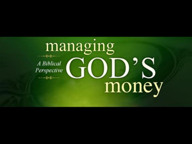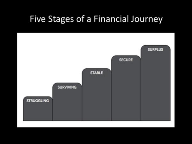#### Five Stages of a Financial Journey

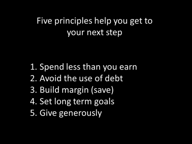## Five principles help you get to your next step

- 1. Spend less than you earn
- 2. Avoid the use of debt
- 3. Build margin (save)
- 4. Set long term goals
- 5. Give generously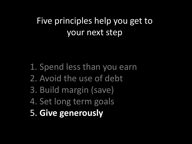### Five principles help you get to your next step

- 1. Spend less than you earn
- 2. Avoid the use of debt
- 3. Build margin (save)
- 4. Set long term goals
- 5. **Give generously**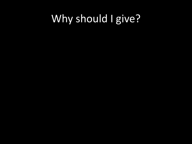# Why should I give?

- 
- 
- 
- 
- 
-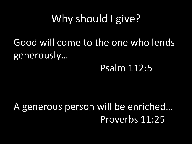# Why should I give?

Good will come to the one who lends generously…

#### Psalm 112:5

A generous person will be enriched… Proverbs 11:25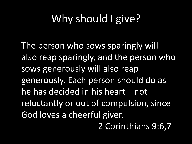# Why should I give?

The person who sows sparingly will also reap sparingly, and the person who sows generously will also reap generously. Each person should do as he has decided in his heart—not reluctantly or out of compulsion, since God loves a cheerful giver. 2 Corinthians 9:6,7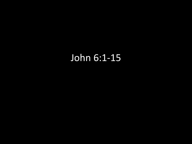## John 6:1-15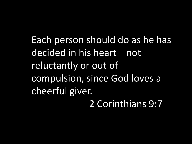Each person should do as he has decided in his heart—not reluctantly or out of compulsion, since God loves a cheerful giver. 2 Corinthians 9:7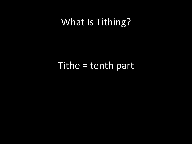## What Is Tithing?

#### Tithe = tenth part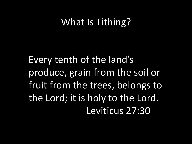## What Is Tithing?

Every tenth of the land's produce, grain from the soil or fruit from the trees, belongs to the Lord; it is holy to the Lord. Leviticus 27:30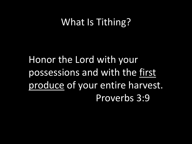## What Is Tithing?

Honor the Lord with your possessions and with the first produce of your entire harvest. Proverbs 3:9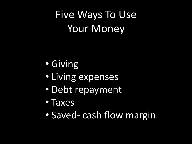Five Ways To Use Your Money

- Giving
- Living expenses
- Debt repayment
- Taxes
- Saved- cash flow margin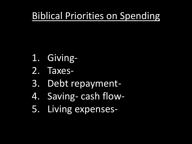## Biblical Priorities on Spending

- 1. Giving-
- 2. Taxes-
- 3. Debt repayment-
- 4. Saving- cash flow-
- 5. Living expenses-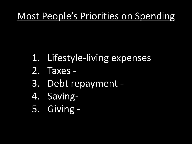## Most People's Priorities on Spending

- 1. Lifestyle-living expenses
- 2. Taxes -
- 3. Debt repayment -
- 4. Saving-
- 5. Giving -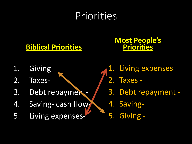# Priorities

#### **Biblical Priorities**

#### **Most People's Priorities**

- 1. Giving-
- 2. Taxes-
- 3. Debt repayment-
- 4. Saving- cash flow-
- 5. Living expenses-
- 1. Living expenses
- 2. Taxes -
- 3. Debt repayment -
- 4. Saving-
- 5. Giving -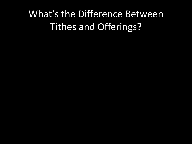## What's the Difference Between Tithes and Offerings?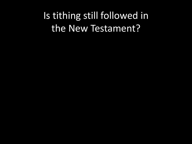Is tithing still followed in the New Testament?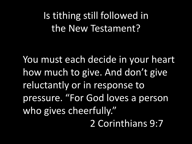Is tithing still followed in the New Testament?

You must each decide in your heart how much to give. And don't give reluctantly or in response to pressure. "For God loves a person who gives cheerfully." 2 Corinthians 9:7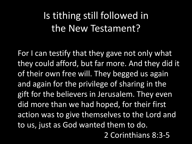Is tithing still followed in the New Testament?

For I can testify that they gave not only what they could afford, but far more. And they did it of their own free will. They begged us again and again for the privilege of sharing in the gift for the believers in Jerusalem. They even did more than we had hoped, for their first action was to give themselves to the Lord and to us, just as God wanted them to do. 2 Corinthians 8:3-5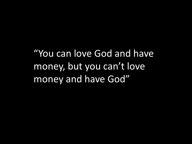"You can love God and have money, but you can't love money and have God"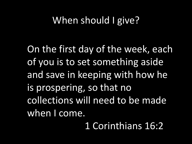### When should I give?

On the first day of the week, each of you is to set something aside and save in keeping with how he is prospering, so that no collections will need to be made when I come.

1 Corinthians 16:2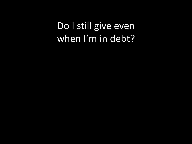Do I still give even when I'm in debt?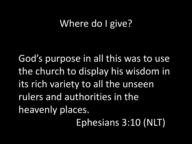God's purpose in all this was to use the church to display his wisdom in its rich variety to all the unseen rulers and authorities in the heavenly places.

Ephesians 3:10 (NLT)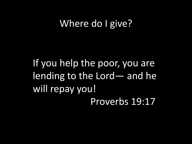If you help the poor, you are lending to the Lord— and he will repay you! Proverbs 19:17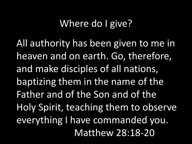All authority has been given to me in heaven and on earth. Go, therefore, and make disciples of all nations, baptizing them in the name of the Father and of the Son and of the Holy Spirit, teaching them to observe everything I have commanded you. Matthew 28:18-20